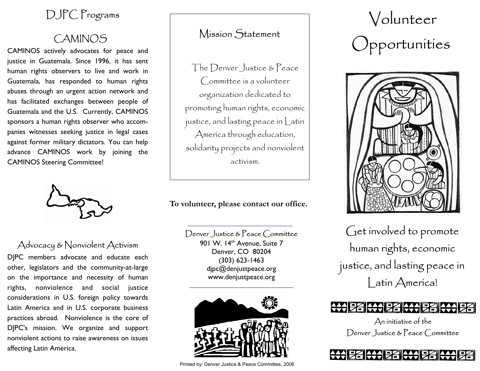# DJPC Programs

# CAMINOS

CAMINOS actively advocates for peace and justice in Guatemala. Since 1996, it has sent human rights observers to live and work in Guatemala, has responded to human rights abuses through an urgent action network and has facilitated exchanges between people of Guatemala and the U.S. Currently, CAMINOS sponsors a human rights observer who accompanies witnesses seeking justice in legal cases against former military dictators. You can help advance CAMINOS work by joining the CAMINOS Steering Committee!



# Advocacy & Nonviolent Activism

DJPC members advocate and educate each other, legislators and the community-at-large on the importance and necessity of human rights, nonviolence and social justice considerations in U.S. foreign policy towards Latin America and in U.S. corporate business practices abroad. Nonviolence is the core of DJPC's mission. We organize and support nonviolent actions to raise awareness on issues affecting Latin America.

## Mission Statement

The Denver Justice & Peace Committee is a volunteer organization dedicated to promoting human rights, economic justice, and lasting peace in Latin America through education, solidarity projects and nonviolent activism.

**To volunteer, please contact our office.** 

#### Denver Justice & Peace Committee

901 W. 14<sup>th</sup> Avenue, Suite 7 Denver, CO 80204 (303) 623-1463 djpc@denjustpeace.org www.denjustpeace.org



Printed by: Denver Justice & Peace Committee, 2006

# Volunteer Opportunities



Get involved to promote human rights, economic justice, and lasting peace in Latin America!